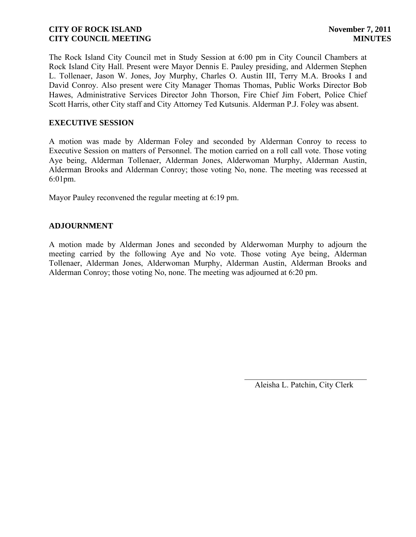The Rock Island City Council met in Study Session at 6:00 pm in City Council Chambers at Rock Island City Hall. Present were Mayor Dennis E. Pauley presiding, and Aldermen Stephen L. Tollenaer, Jason W. Jones, Joy Murphy, Charles O. Austin III, Terry M.A. Brooks I and David Conroy. Also present were City Manager Thomas Thomas, Public Works Director Bob Hawes, Administrative Services Director John Thorson, Fire Chief Jim Fobert, Police Chief Scott Harris, other City staff and City Attorney Ted Kutsunis. Alderman P.J. Foley was absent.

## **EXECUTIVE SESSION**

A motion was made by Alderman Foley and seconded by Alderman Conroy to recess to Executive Session on matters of Personnel. The motion carried on a roll call vote. Those voting Aye being, Alderman Tollenaer, Alderman Jones, Alderwoman Murphy, Alderman Austin, Alderman Brooks and Alderman Conroy; those voting No, none. The meeting was recessed at 6:01pm.

Mayor Pauley reconvened the regular meeting at 6:19 pm.

# **ADJOURNMENT**

A motion made by Alderman Jones and seconded by Alderwoman Murphy to adjourn the meeting carried by the following Aye and No vote. Those voting Aye being, Alderman Tollenaer, Alderman Jones, Alderwoman Murphy, Alderman Austin, Alderman Brooks and Alderman Conroy; those voting No, none. The meeting was adjourned at 6:20 pm.

> $\overline{\phantom{a}}$ Aleisha L. Patchin, City Clerk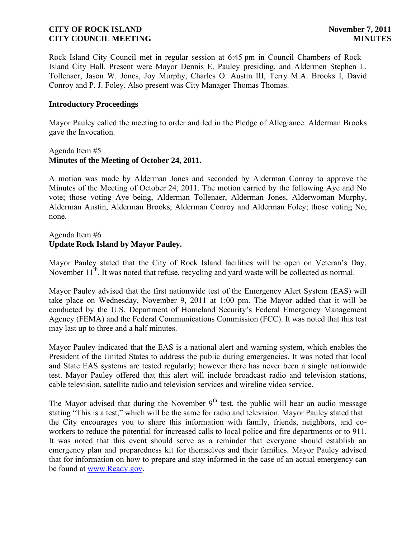Rock Island City Council met in regular session at 6:45 pm in Council Chambers of Rock Island City Hall. Present were Mayor Dennis E. Pauley presiding, and Aldermen Stephen L. Tollenaer, Jason W. Jones, Joy Murphy, Charles O. Austin III, Terry M.A. Brooks I, David Conroy and P. J. Foley. Also present was City Manager Thomas Thomas.

#### **Introductory Proceedings**

Mayor Pauley called the meeting to order and led in the Pledge of Allegiance. Alderman Brooks gave the Invocation.

## Agenda Item #5 **Minutes of the Meeting of October 24, 2011.**

A motion was made by Alderman Jones and seconded by Alderman Conroy to approve the Minutes of the Meeting of October 24, 2011. The motion carried by the following Aye and No vote; those voting Aye being, Alderman Tollenaer, Alderman Jones, Alderwoman Murphy, Alderman Austin, Alderman Brooks, Alderman Conroy and Alderman Foley; those voting No, none.

## Agenda Item #6 **Update Rock Island by Mayor Pauley.**

Mayor Pauley stated that the City of Rock Island facilities will be open on Veteran's Day, November 11<sup>th</sup>. It was noted that refuse, recycling and yard waste will be collected as normal.

Mayor Pauley advised that the first nationwide test of the Emergency Alert System (EAS) will take place on Wednesday, November 9, 2011 at 1:00 pm. The Mayor added that it will be conducted by the U.S. Department of Homeland Security's Federal Emergency Management Agency (FEMA) and the Federal Communications Commission (FCC). It was noted that this test may last up to three and a half minutes.

Mayor Pauley indicated that the EAS is a national alert and warning system, which enables the President of the United States to address the public during emergencies. It was noted that local and State EAS systems are tested regularly; however there has never been a single nationwide test. Mayor Pauley offered that this alert will include broadcast radio and television stations, cable television, satellite radio and television services and wireline video service.

The Mayor advised that during the November  $9<sup>th</sup>$  test, the public will hear an audio message stating "This is a test," which will be the same for radio and television. Mayor Pauley stated that the City encourages you to share this information with family, friends, neighbors, and coworkers to reduce the potential for increased calls to local police and fire departments or to 911. It was noted that this event should serve as a reminder that everyone should establish an emergency plan and preparedness kit for themselves and their families. Mayor Pauley advised that for information on how to prepare and stay informed in the case of an actual emergency can be found at [www.Ready.gov.](http://www.ready.gov/)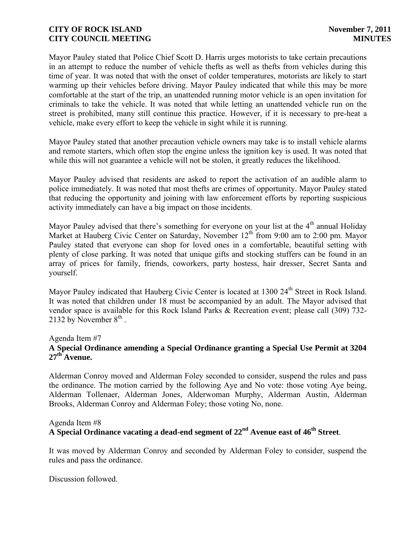Mayor Pauley stated that Police Chief Scott D. Harris urges motorists to take certain precautions in an attempt to reduce the number of vehicle thefts as well as thefts from vehicles during this time of year. It was noted that with the onset of colder temperatures, motorists are likely to start warming up their vehicles before driving. Mayor Pauley indicated that while this may be more comfortable at the start of the trip, an unattended running motor vehicle is an open invitation for criminals to take the vehicle. It was noted that while letting an unattended vehicle run on the street is prohibited, many still continue this practice. However, if it is necessary to pre-heat a vehicle, make every effort to keep the vehicle in sight while it is running.

Mayor Pauley stated that another precaution vehicle owners may take is to install vehicle alarms and remote starters, which often stop the engine unless the ignition key is used. It was noted that while this will not guarantee a vehicle will not be stolen, it greatly reduces the likelihood.

Mayor Pauley advised that residents are asked to report the activation of an audible alarm to police immediately. It was noted that most thefts are crimes of opportunity. Mayor Pauley stated that reducing the opportunity and joining with law enforcement efforts by reporting suspicious activity immediately can have a big impact on those incidents.

Mayor Pauley advised that there's something for everyone on your list at the  $4<sup>th</sup>$  annual Holiday Market at Hauberg Civic Center on Saturday, November  $12<sup>th</sup>$  from 9:00 am to 2:00 pm. Mayor Pauley stated that everyone can shop for loved ones in a comfortable, beautiful setting with plenty of close parking. It was noted that unique gifts and stocking stuffers can be found in an array of prices for family, friends, coworkers, party hostess, hair dresser, Secret Santa and yourself.

Mayor Pauley indicated that Hauberg Civic Center is located at 1300 24<sup>th</sup> Street in Rock Island. It was noted that children under 18 must be accompanied by an adult. The Mayor advised that vendor space is available for this Rock Island Parks & Recreation event; please call (309) 732- 2132 by November  $8<sup>th</sup>$ .

# Agenda Item #7

# **A Special Ordinance amending a Special Ordinance granting a Special Use Permit at 3204 27th Avenue.**

Alderman Conroy moved and Alderman Foley seconded to consider, suspend the rules and pass the ordinance. The motion carried by the following Aye and No vote: those voting Aye being, Alderman Tollenaer, Alderman Jones, Alderwoman Murphy, Alderman Austin, Alderman Brooks, Alderman Conroy and Alderman Foley; those voting No, none.

# Agenda Item #8

# **A Special Ordinance vacating a dead-end segment of 22nd Avenue east of 46th Street**.

It was moved by Alderman Conroy and seconded by Alderman Foley to consider, suspend the rules and pass the ordinance.

Discussion followed.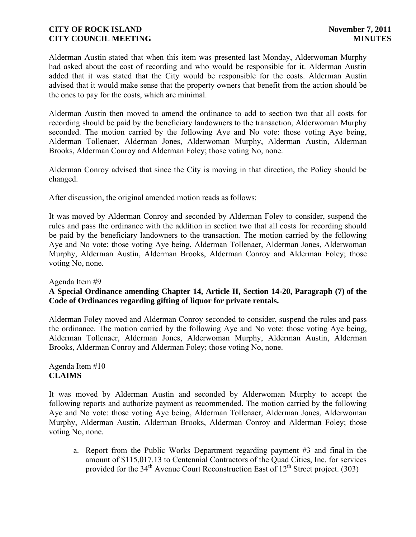Alderman Austin stated that when this item was presented last Monday, Alderwoman Murphy had asked about the cost of recording and who would be responsible for it. Alderman Austin added that it was stated that the City would be responsible for the costs. Alderman Austin advised that it would make sense that the property owners that benefit from the action should be the ones to pay for the costs, which are minimal.

Alderman Austin then moved to amend the ordinance to add to section two that all costs for recording should be paid by the beneficiary landowners to the transaction, Alderwoman Murphy seconded. The motion carried by the following Aye and No vote: those voting Aye being, Alderman Tollenaer, Alderman Jones, Alderwoman Murphy, Alderman Austin, Alderman Brooks, Alderman Conroy and Alderman Foley; those voting No, none.

Alderman Conroy advised that since the City is moving in that direction, the Policy should be changed.

After discussion, the original amended motion reads as follows:

It was moved by Alderman Conroy and seconded by Alderman Foley to consider, suspend the rules and pass the ordinance with the addition in section two that all costs for recording should be paid by the beneficiary landowners to the transaction. The motion carried by the following Aye and No vote: those voting Aye being, Alderman Tollenaer, Alderman Jones, Alderwoman Murphy, Alderman Austin, Alderman Brooks, Alderman Conroy and Alderman Foley; those voting No, none.

## Agenda Item #9

# **A Special Ordinance amending Chapter 14, Article II, Section 14-20, Paragraph (7) of the Code of Ordinances regarding gifting of liquor for private rentals.**

Alderman Foley moved and Alderman Conroy seconded to consider, suspend the rules and pass the ordinance. The motion carried by the following Aye and No vote: those voting Aye being, Alderman Tollenaer, Alderman Jones, Alderwoman Murphy, Alderman Austin, Alderman Brooks, Alderman Conroy and Alderman Foley; those voting No, none.

## Agenda Item #10 **CLAIMS**

It was moved by Alderman Austin and seconded by Alderwoman Murphy to accept the following reports and authorize payment as recommended. The motion carried by the following Aye and No vote: those voting Aye being, Alderman Tollenaer, Alderman Jones, Alderwoman Murphy, Alderman Austin, Alderman Brooks, Alderman Conroy and Alderman Foley; those voting No, none.

a. Report from the Public Works Department regarding payment #3 and final in the amount of \$115,017.13 to Centennial Contractors of the Quad Cities, Inc. for services provided for the  $34<sup>th</sup>$  Avenue Court Reconstruction East of  $12<sup>th</sup>$  Street project. (303)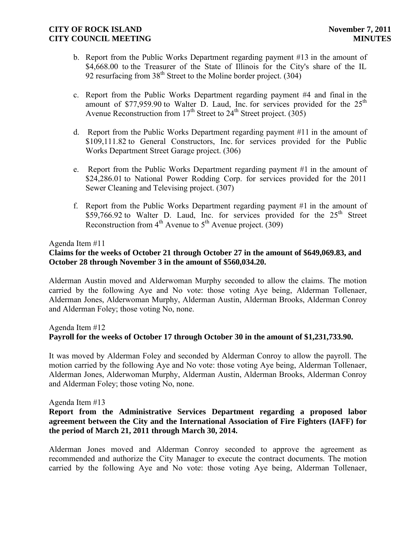- b. Report from the Public Works Department regarding payment #13 in the amount of \$4,668.00 to the Treasurer of the State of Illinois for the City's share of the IL 92 resurfacing from  $38<sup>th</sup>$  Street to the Moline border project. (304)
- c. Report from the Public Works Department regarding payment #4 and final in the amount of \$77,959.90 to Walter D. Laud, Inc. for services provided for the  $25<sup>th</sup>$ Avenue Reconstruction from  $17<sup>th</sup>$  Street to  $24<sup>th</sup>$  Street project. (305)
- d. Report from the Public Works Department regarding payment #11 in the amount of \$109,111.82 to General Constructors, Inc. for services provided for the Public Works Department Street Garage project. (306)
- e. Report from the Public Works Department regarding payment #1 in the amount of \$24,286.01 to National Power Rodding Corp. for services provided for the 2011 Sewer Cleaning and Televising project. (307)
- f. Report from the Public Works Department regarding payment #1 in the amount of  $$59,766.92$  to Walter D. Laud, Inc. for services provided for the  $25<sup>th</sup>$  Street Reconstruction from  $4<sup>th</sup>$  Avenue to  $5<sup>th</sup>$  Avenue project. (309)

## Agenda Item #11

# **Claims for the weeks of October 21 through October 27 in the amount of \$649,069.83, and October 28 through November 3 in the amount of \$560,034.20.**

Alderman Austin moved and Alderwoman Murphy seconded to allow the claims. The motion carried by the following Aye and No vote: those voting Aye being, Alderman Tollenaer, Alderman Jones, Alderwoman Murphy, Alderman Austin, Alderman Brooks, Alderman Conroy and Alderman Foley; those voting No, none.

# Agenda Item #12 **Payroll for the weeks of October 17 through October 30 in the amount of \$1,231,733.90.**

It was moved by Alderman Foley and seconded by Alderman Conroy to allow the payroll. The motion carried by the following Aye and No vote: those voting Aye being, Alderman Tollenaer, Alderman Jones, Alderwoman Murphy, Alderman Austin, Alderman Brooks, Alderman Conroy and Alderman Foley; those voting No, none.

## Agenda Item #13

## **Report from the Administrative Services Department regarding a proposed labor agreement between the City and the International Association of Fire Fighters (IAFF) for the period of March 21, 2011 through March 30, 2014.**

Alderman Jones moved and Alderman Conroy seconded to approve the agreement as recommended and authorize the City Manager to execute the contract documents. The motion carried by the following Aye and No vote: those voting Aye being, Alderman Tollenaer,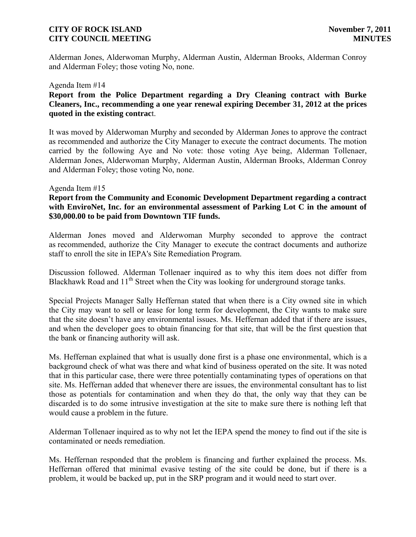Alderman Jones, Alderwoman Murphy, Alderman Austin, Alderman Brooks, Alderman Conroy and Alderman Foley; those voting No, none.

#### Agenda Item #14

## **Report from the Police Department regarding a Dry Cleaning contract with Burke Cleaners, Inc., recommending a one year renewal expiring December 31, 2012 at the prices quoted in the existing contrac**t.

It was moved by Alderwoman Murphy and seconded by Alderman Jones to approve the contract as recommended and authorize the City Manager to execute the contract documents. The motion carried by the following Aye and No vote: those voting Aye being, Alderman Tollenaer, Alderman Jones, Alderwoman Murphy, Alderman Austin, Alderman Brooks, Alderman Conroy and Alderman Foley; those voting No, none.

#### Agenda Item #15

## **Report from the Community and Economic Development Department regarding a contract**  with EnviroNet, Inc. for an environmental assessment of Parking Lot C in the amount of **\$30,000.00 to be paid from Downtown TIF funds.**

Alderman Jones moved and Alderwoman Murphy seconded to approve the contract as recommended, authorize the City Manager to execute the contract documents and authorize staff to enroll the site in IEPA's Site Remediation Program.

Discussion followed. Alderman Tollenaer inquired as to why this item does not differ from Blackhawk Road and 11<sup>th</sup> Street when the City was looking for underground storage tanks.

Special Projects Manager Sally Heffernan stated that when there is a City owned site in which the City may want to sell or lease for long term for development, the City wants to make sure that the site doesn't have any environmental issues. Ms. Heffernan added that if there are issues, and when the developer goes to obtain financing for that site, that will be the first question that the bank or financing authority will ask.

Ms. Heffernan explained that what is usually done first is a phase one environmental, which is a background check of what was there and what kind of business operated on the site. It was noted that in this particular case, there were three potentially contaminating types of operations on that site. Ms. Heffernan added that whenever there are issues, the environmental consultant has to list those as potentials for contamination and when they do that, the only way that they can be discarded is to do some intrusive investigation at the site to make sure there is nothing left that would cause a problem in the future.

Alderman Tollenaer inquired as to why not let the IEPA spend the money to find out if the site is contaminated or needs remediation.

Ms. Heffernan responded that the problem is financing and further explained the process. Ms. Heffernan offered that minimal evasive testing of the site could be done, but if there is a problem, it would be backed up, put in the SRP program and it would need to start over.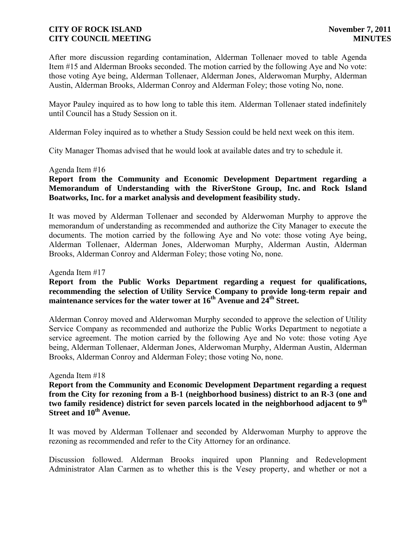After more discussion regarding contamination, Alderman Tollenaer moved to table Agenda Item #15 and Alderman Brooks seconded. The motion carried by the following Aye and No vote: those voting Aye being, Alderman Tollenaer, Alderman Jones, Alderwoman Murphy, Alderman Austin, Alderman Brooks, Alderman Conroy and Alderman Foley; those voting No, none.

Mayor Pauley inquired as to how long to table this item. Alderman Tollenaer stated indefinitely until Council has a Study Session on it.

Alderman Foley inquired as to whether a Study Session could be held next week on this item.

City Manager Thomas advised that he would look at available dates and try to schedule it.

## Agenda Item #16

# **Report from the Community and Economic Development Department regarding a Memorandum of Understanding with the RiverStone Group, Inc. and Rock Island Boatworks, Inc. for a market analysis and development feasibility study.**

It was moved by Alderman Tollenaer and seconded by Alderwoman Murphy to approve the memorandum of understanding as recommended and authorize the City Manager to execute the documents. The motion carried by the following Aye and No vote: those voting Aye being, Alderman Tollenaer, Alderman Jones, Alderwoman Murphy, Alderman Austin, Alderman Brooks, Alderman Conroy and Alderman Foley; those voting No, none.

#### Agenda Item #17

## **Report from the Public Works Department regarding a request for qualifications, recommending the selection of Utility Service Company to provide long-term repair and maintenance services for the water tower at 16th Avenue and 24th Street.**

Alderman Conroy moved and Alderwoman Murphy seconded to approve the selection of Utility Service Company as recommended and authorize the Public Works Department to negotiate a service agreement. The motion carried by the following Aye and No vote: those voting Aye being, Alderman Tollenaer, Alderman Jones, Alderwoman Murphy, Alderman Austin, Alderman Brooks, Alderman Conroy and Alderman Foley; those voting No, none.

#### Agenda Item #18

**Report from the Community and Economic Development Department regarding a request from the City for rezoning from a B-1 (neighborhood business) district to an R-3 (one and two family residence) district for seven parcels located in the neighborhood adjacent to 9th Street and 10th Avenue.**

It was moved by Alderman Tollenaer and seconded by Alderwoman Murphy to approve the rezoning as recommended and refer to the City Attorney for an ordinance.

Discussion followed. Alderman Brooks inquired upon Planning and Redevelopment Administrator Alan Carmen as to whether this is the Vesey property, and whether or not a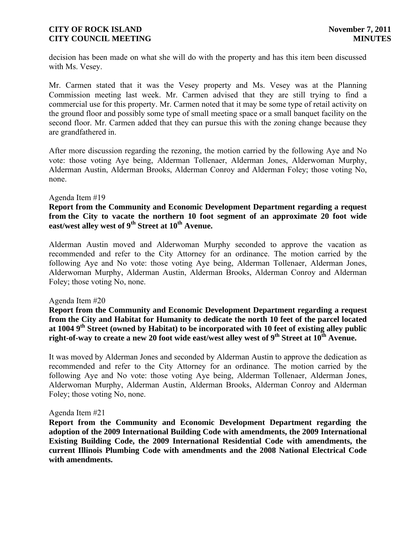decision has been made on what she will do with the property and has this item been discussed with Ms. Vesey.

Mr. Carmen stated that it was the Vesey property and Ms. Vesey was at the Planning Commission meeting last week. Mr. Carmen advised that they are still trying to find a commercial use for this property. Mr. Carmen noted that it may be some type of retail activity on the ground floor and possibly some type of small meeting space or a small banquet facility on the second floor. Mr. Carmen added that they can pursue this with the zoning change because they are grandfathered in.

After more discussion regarding the rezoning, the motion carried by the following Aye and No vote: those voting Aye being, Alderman Tollenaer, Alderman Jones, Alderwoman Murphy, Alderman Austin, Alderman Brooks, Alderman Conroy and Alderman Foley; those voting No, none.

#### Agenda Item #19

**Report from the Community and Economic Development Department regarding a request from the City to vacate the northern 10 foot segment of an approximate 20 foot wide east/west alley west of 9th Street at 10th Avenue.**

Alderman Austin moved and Alderwoman Murphy seconded to approve the vacation as recommended and refer to the City Attorney for an ordinance. The motion carried by the following Aye and No vote: those voting Aye being, Alderman Tollenaer, Alderman Jones, Alderwoman Murphy, Alderman Austin, Alderman Brooks, Alderman Conroy and Alderman Foley; those voting No, none.

#### Agenda Item #20

**Report from the Community and Economic Development Department regarding a request from the City and Habitat for Humanity to dedicate the north 10 feet of the parcel located at 1004 9th Street (owned by Habitat) to be incorporated with 10 feet of existing alley public right-of-way to create a new 20 foot wide east/west alley west of 9th Street at 10th Avenue.**

It was moved by Alderman Jones and seconded by Alderman Austin to approve the dedication as recommended and refer to the City Attorney for an ordinance. The motion carried by the following Aye and No vote: those voting Aye being, Alderman Tollenaer, Alderman Jones, Alderwoman Murphy, Alderman Austin, Alderman Brooks, Alderman Conroy and Alderman Foley; those voting No, none.

#### Agenda Item #21

**Report from the Community and Economic Development Department regarding the adoption of the 2009 International Building Code with amendments, the 2009 International Existing Building Code, the 2009 International Residential Code with amendments, the current Illinois Plumbing Code with amendments and the 2008 National Electrical Code with amendments.**